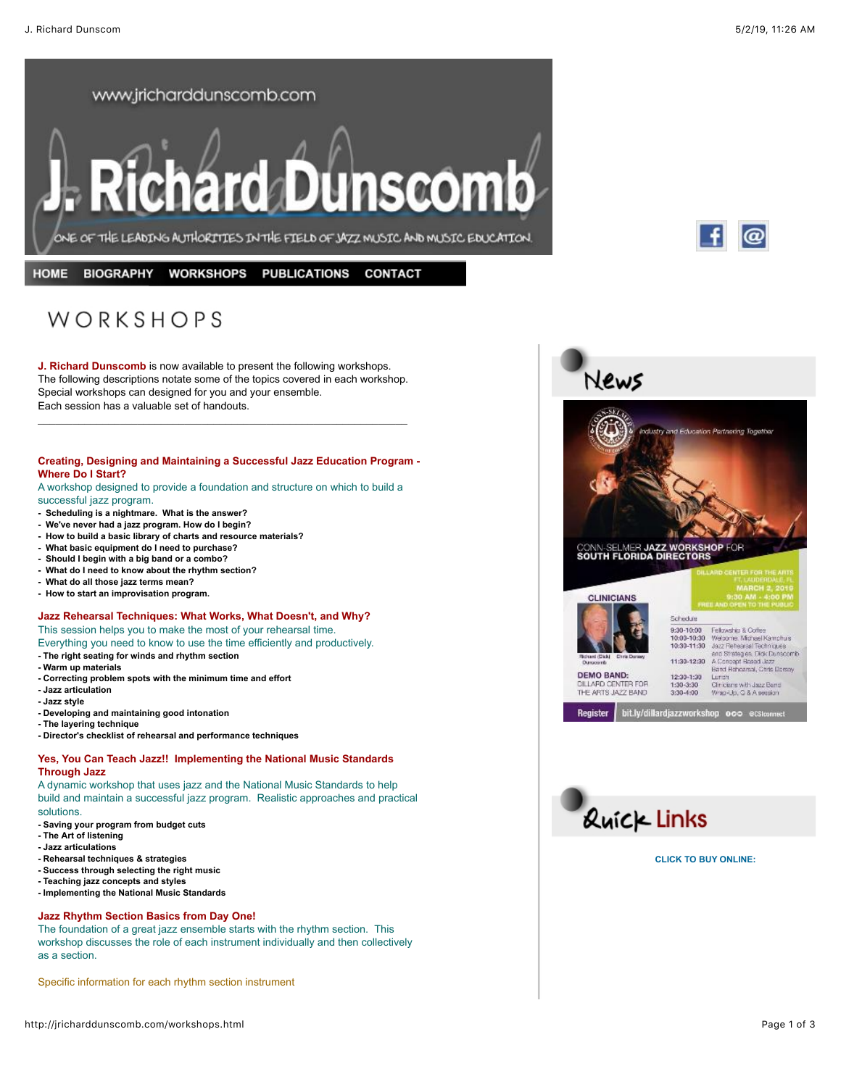

**HOME** BIOGRAPHY WORKSHOPS PUBLICATIONS **CONTACT** 

# WORKSHOPS

**J. Richard Dunscomb** is now available to present the following workshops. The following descriptions notate some of the topics covered in each workshop. Special workshops can designed for you and your ensemble. Each session has a valuable set of handouts.

\_\_\_\_\_\_\_\_\_\_\_\_\_\_\_\_\_\_\_\_\_\_\_\_\_\_\_\_\_\_\_\_\_\_\_\_\_\_\_\_\_\_\_\_\_\_\_\_\_\_\_\_\_\_\_\_\_\_\_\_\_\_\_

#### **Creating, Designing and Maintaining a Successful Jazz Education Program - Where Do I Start?**

A workshop designed to provide a foundation and structure on which to build a successful jazz program.

- **Scheduling is a nightmare. What is the answer?**
- **We've never had a jazz program. How do I begin?**
- **How to build a basic library of charts and resource materials?**
- **What basic equipment do I need to purchase?**
- **Should I begin with a big band or a combo?**
- **What do I need to know about the rhythm section?**
- **What do all those jazz terms mean?**
- **How to start an improvisation program.**

#### **Jazz Rehearsal Techniques: What Works, What Doesn't, and Why?** This session helps you to make the most of your rehearsal time.

Everything you need to know to use the time efficiently and productively.

- **The right seating for winds and rhythm section**
- **Warm up materials**
- **Correcting problem spots with the minimum time and effort**
- **Jazz articulation**
- **Jazz style**
- **Developing and maintaining good intonation**
- **The layering technique**
- **Director's checklist of rehearsal and performance techniques**

## **Yes, You Can Teach Jazz!! Implementing the National Music Standards Through Jazz**

A dynamic workshop that uses jazz and the National Music Standards to help build and maintain a successful jazz program. Realistic approaches and practical solutions.

- **Saving your program from budget cuts**
- **The Art of listening**
- **Jazz articulations**
- **Rehearsal techniques & strategies**
- **Success through selecting the right music**
- **Teaching jazz concepts and styles**
- **Implementing the National Music Standards**

### **Jazz Rhythm Section Basics from Day One!**

The foundation of a great jazz ensemble starts with the rhythm section. This workshop discusses the role of each instrument individually and then collectively as a section.

Specific information for each rhythm section instrument





**CLICK TO BUY ONLINE:**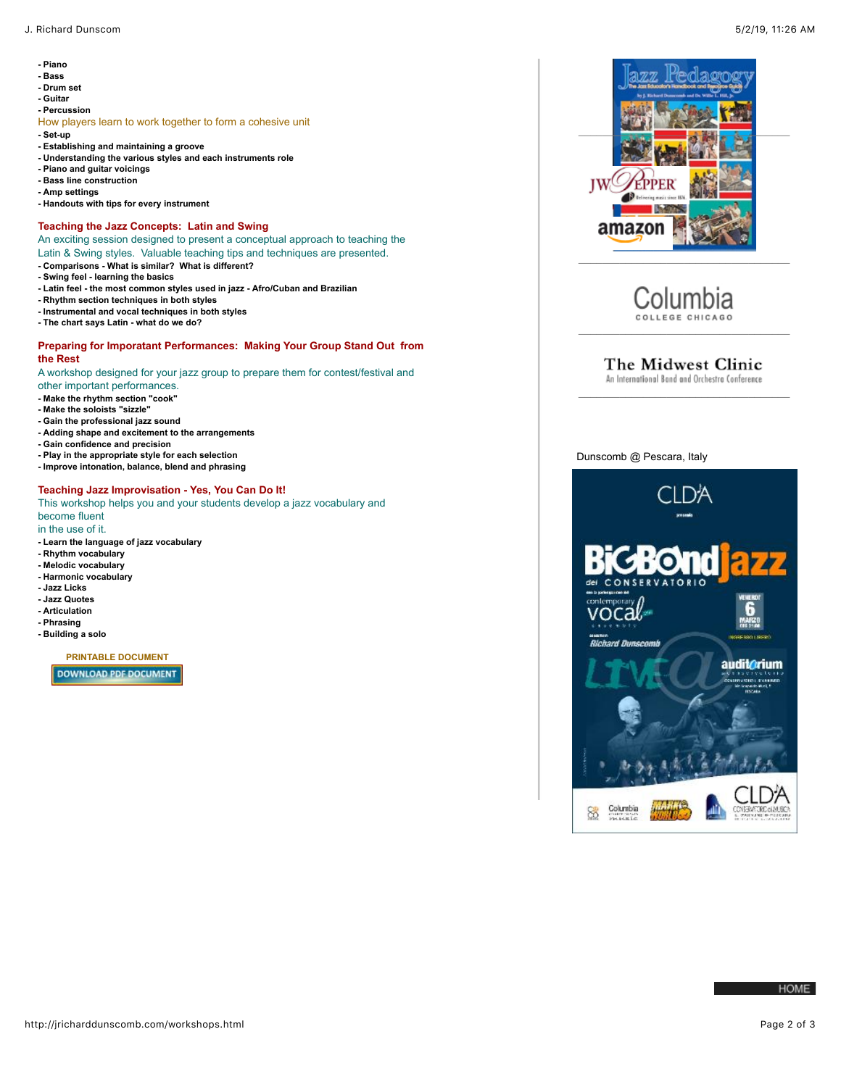- **Piano**
- **Bass**
- **Drum set**
- **Guitar**
- **Percussion**

How players learn to work together to form a cohesive unit

- **Set-up**
- **Establishing and maintaining a groove**
- **Understanding the various styles and each instruments role**
- **Piano and guitar voicings**
- **Bass line construction**
- **Amp settings**
- **Handouts with tips for every instrument**

#### **Teaching the Jazz Concepts: Latin and Swing**

An exciting session designed to present a conceptual approach to teaching the Latin & Swing styles. Valuable teaching tips and techniques are presented. **- Comparisons - What is similar? What is different?**

- **Swing feel learning the basics**
- **Latin feel the most common styles used in jazz Afro/Cuban and Brazilian**
- **Rhythm section techniques in both styles**
- **Instrumental and vocal techniques in both styles**
- **The chart says Latin what do we do?**

### **Preparing for Imporatant Performances: Making Your Group Stand Out from the Rest**

A workshop designed for your jazz group to prepare them for contest/festival and other important performances.

- **Make the rhythm section "cook"**
- **Make the soloists "sizzle"**
- **Gain the professional jazz sound**
- **Adding shape and excitement to the arrangements**
- **Gain confidence and precision**
- **Play in the appropriate style for each selection**
- **Improve intonation, balance, blend and phrasing**

## **Teaching Jazz Improvisation - Yes, You Can Do It!**

This workshop helps you and your students develop a jazz vocabulary and become fluent

- in the use of it.
- **Learn the language of jazz vocabulary**
- **Rhythm vocabulary**
- **Melodic vocabulary**
- **Harmonic vocabulary**
- **Jazz Licks**
- **Jazz Quotes**
- **Articulation**
- **Phrasing**
- **Building a solo**

**PRINTABLE DOCUMENT DOWNLOAD PDF DOCUMENT** 





\_\_\_\_\_\_\_\_\_[\\_\\_\\_\\_\\_\\_\\_\\_\\_\\_\\_\\_\\_\\_\\_\\_\\_\\_](http://www.colum.edu/Academics/Music/)\_\_\_\_\_\_\_\_\_

## The Midwest Clinic

An International Band and Orchestra Conference \_\_\_\_\_\_\_\_\_\_\_\_\_\_\_\_\_\_\_\_\_\_\_\_\_\_\_\_\_\_\_\_\_\_\_\_

Dunscomb @ Pescara, Italy